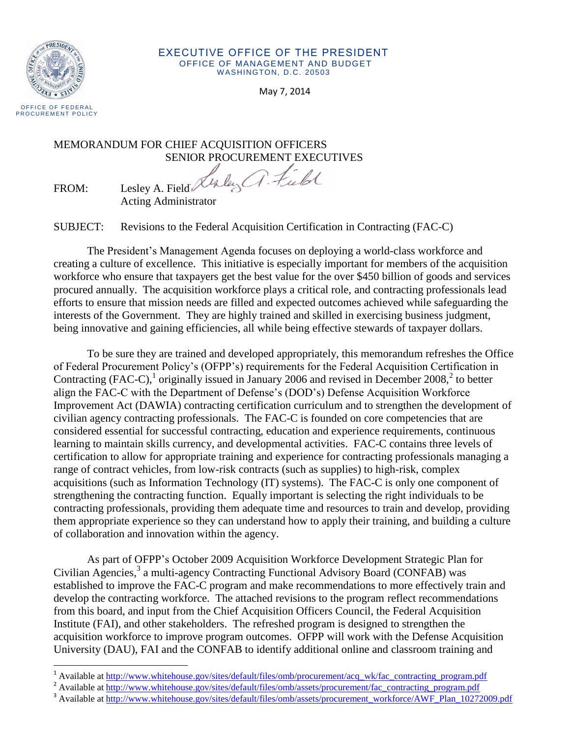

#### EXECUTIVE OFFICE OF THE PRESIDENT OFFICE OF MANAGEMENT AND BUDGET WASHINGTON, D.C. 20503

May 7, 2014

# MEMORANDUM FOR CHIEF ACQUISITION OFFICERS

SENIOR PROCUREMENT EXECUTIVES

FROM: Lesley A. Field Acting Administrator

SUBJECT: Revisions to the Federal Acquisition Certification in Contracting (FAC-C)

The President's Management Agenda focuses on deploying a world-class workforce and creating a culture of excellence. This initiative is especially important for members of the acquisition workforce who ensure that taxpayers get the best value for the over \$450 billion of goods and services procured annually. The acquisition workforce plays a critical role, and contracting professionals lead efforts to ensure that mission needs are filled and expected outcomes achieved while safeguarding the interests of the Government. They are highly trained and skilled in exercising business judgment, being innovative and gaining efficiencies, all while being effective stewards of taxpayer dollars.

To be sure they are trained and developed appropriately, this memorandum refreshes the Office of Federal Procurement Policy's (OFPP's) requirements for the Federal Acquisition Certification in Contracting (FAC-C),<sup>1</sup> originally issued in January 2006 and revised in December 2008,<sup>2</sup> to better align the FAC-C with the Department of Defense's (DOD's) Defense Acquisition Workforce Improvement Act (DAWIA) contracting certification curriculum and to strengthen the development of civilian agency contracting professionals. The FAC-C is founded on core competencies that are considered essential for successful contracting, education and experience requirements, continuous learning to maintain skills currency, and developmental activities. FAC-C contains three levels of certification to allow for appropriate training and experience for contracting professionals managing a range of contract vehicles, from low-risk contracts (such as supplies) to high-risk, complex acquisitions (such as Information Technology (IT) systems). The FAC-C is only one component of strengthening the contracting function. Equally important is selecting the right individuals to be contracting professionals, providing them adequate time and resources to train and develop, providing them appropriate experience so they can understand how to apply their training, and building a culture of collaboration and innovation within the agency.

As part of OFPP's October 2009 Acquisition Workforce Development Strategic Plan for Civilian Agencies, 3 a multi-agency Contracting Functional Advisory Board (CONFAB) was established to improve the FAC-C program and make recommendations to more effectively train and develop the contracting workforce. The attached revisions to the program reflect recommendations from this board, and input from the Chief Acquisition Officers Council, the Federal Acquisition Institute (FAI), and other stakeholders. The refreshed program is designed to strengthen the acquisition workforce to improve program outcomes. OFPP will work with the Defense Acquisition University (DAU), FAI and the CONFAB to identify additional online and classroom training and

 $\overline{a}$ Available at [http://www.whitehouse.gov/sites/default/files/omb/procurement/acq\\_wk/fac\\_contracting\\_program.pdf](http://www.whitehouse.gov/sites/default/files/omb/procurement/acq_wk/fac_contracting_program.pdf)

<sup>&</sup>lt;sup>2</sup> Available at [http://www.whitehouse.gov/sites/default/files/omb/assets/procurement/fac\\_contracting\\_program.pdf](http://www.whitehouse.gov/sites/default/files/omb/assets/procurement/fac_contracting_program.pdf)

<sup>&</sup>lt;sup>3</sup> Available at [http://www.whitehouse.gov/sites/default/files/omb/assets/procurement\\_workforce/AWF\\_Plan\\_10272009.pdf](http://www.whitehouse.gov/sites/default/files/omb/assets/procurement_workforce/AWF_Plan_10272009.pdf)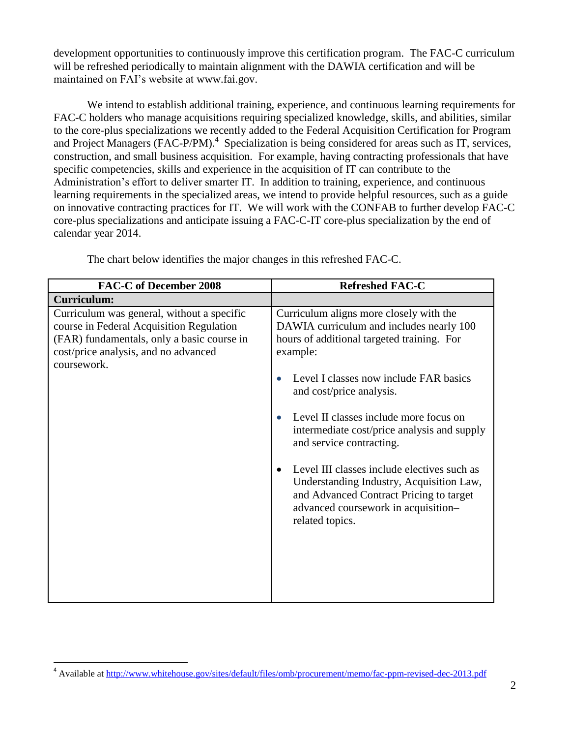development opportunities to continuously improve this certification program. The FAC-C curriculum will be refreshed periodically to maintain alignment with the DAWIA certification and will be maintained on FAI's website at www.fai.gov.

We intend to establish additional training, experience, and continuous learning requirements for FAC-C holders who manage acquisitions requiring specialized knowledge, skills, and abilities, similar to the core-plus specializations we recently added to the Federal Acquisition Certification for Program and Project Managers (FAC-P/PM).<sup>4</sup> Specialization is being considered for areas such as IT, services, construction, and small business acquisition. For example, having contracting professionals that have specific competencies, skills and experience in the acquisition of IT can contribute to the Administration's effort to deliver smarter IT. In addition to training, experience, and continuous learning requirements in the specialized areas, we intend to provide helpful resources, such as a guide on innovative contracting practices for IT. We will work with the CONFAB to further develop FAC-C core-plus specializations and anticipate issuing a FAC-C-IT core-plus specialization by the end of calendar year 2014.

| <b>FAC-C of December 2008</b>                                                                                                                                                               | <b>Refreshed FAC-C</b>                                                                                                                                                                                                                                                                                                                                                                                                                                                                                                                   |
|---------------------------------------------------------------------------------------------------------------------------------------------------------------------------------------------|------------------------------------------------------------------------------------------------------------------------------------------------------------------------------------------------------------------------------------------------------------------------------------------------------------------------------------------------------------------------------------------------------------------------------------------------------------------------------------------------------------------------------------------|
| <b>Curriculum:</b>                                                                                                                                                                          |                                                                                                                                                                                                                                                                                                                                                                                                                                                                                                                                          |
| Curriculum was general, without a specific<br>course in Federal Acquisition Regulation<br>(FAR) fundamentals, only a basic course in<br>cost/price analysis, and no advanced<br>coursework. | Curriculum aligns more closely with the<br>DAWIA curriculum and includes nearly 100<br>hours of additional targeted training. For<br>example:<br>Level I classes now include FAR basics<br>and cost/price analysis.<br>Level II classes include more focus on<br>intermediate cost/price analysis and supply<br>and service contracting.<br>Level III classes include electives such as<br>Understanding Industry, Acquisition Law,<br>and Advanced Contract Pricing to target<br>advanced coursework in acquisition-<br>related topics. |

The chart below identifies the major changes in this refreshed FAC-C.

 $\ddot{\phantom{a}}$ 

<sup>&</sup>lt;sup>4</sup> Available at<http://www.whitehouse.gov/sites/default/files/omb/procurement/memo/fac-ppm-revised-dec-2013.pdf>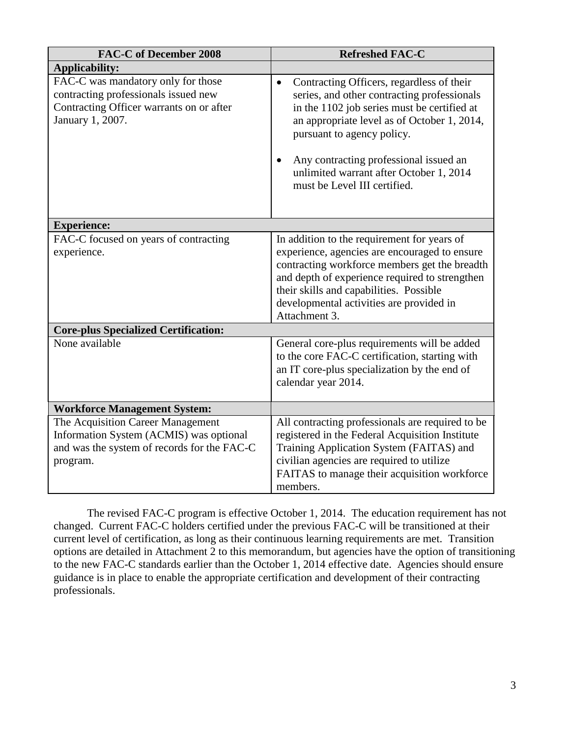| <b>FAC-C of December 2008</b>                                                                                                              | <b>Refreshed FAC-C</b>                                                                                                                                                                                                                                                                                                                                                                                                                                                           |
|--------------------------------------------------------------------------------------------------------------------------------------------|----------------------------------------------------------------------------------------------------------------------------------------------------------------------------------------------------------------------------------------------------------------------------------------------------------------------------------------------------------------------------------------------------------------------------------------------------------------------------------|
| <b>Applicability:</b>                                                                                                                      |                                                                                                                                                                                                                                                                                                                                                                                                                                                                                  |
| FAC-C was mandatory only for those<br>contracting professionals issued new<br>Contracting Officer warrants on or after<br>January 1, 2007. | Contracting Officers, regardless of their<br>$\bullet$<br>series, and other contracting professionals<br>in the 1102 job series must be certified at<br>an appropriate level as of October 1, 2014,<br>pursuant to agency policy.<br>Any contracting professional issued an<br>$\bullet$<br>unlimited warrant after October 1, 2014<br>must be Level III certified.                                                                                                              |
| <b>Experience:</b>                                                                                                                         |                                                                                                                                                                                                                                                                                                                                                                                                                                                                                  |
| FAC-C focused on years of contracting<br>experience.<br><b>Core-plus Specialized Certification:</b><br>None available                      | In addition to the requirement for years of<br>experience, agencies are encouraged to ensure<br>contracting workforce members get the breadth<br>and depth of experience required to strengthen<br>their skills and capabilities. Possible<br>developmental activities are provided in<br>Attachment 3.<br>General core-plus requirements will be added<br>to the core FAC-C certification, starting with<br>an IT core-plus specialization by the end of<br>calendar year 2014. |
| <b>Workforce Management System:</b>                                                                                                        |                                                                                                                                                                                                                                                                                                                                                                                                                                                                                  |
| The Acquisition Career Management<br>Information System (ACMIS) was optional<br>and was the system of records for the FAC-C<br>program.    | All contracting professionals are required to be<br>registered in the Federal Acquisition Institute<br>Training Application System (FAITAS) and<br>civilian agencies are required to utilize<br>FAITAS to manage their acquisition workforce<br>members.                                                                                                                                                                                                                         |

The revised FAC-C program is effective October 1, 2014. The education requirement has not changed. Current FAC-C holders certified under the previous FAC-C will be transitioned at their current level of certification, as long as their continuous learning requirements are met. Transition options are detailed in Attachment 2 to this memorandum, but agencies have the option of transitioning to the new FAC-C standards earlier than the October 1, 2014 effective date. Agencies should ensure guidance is in place to enable the appropriate certification and development of their contracting professionals.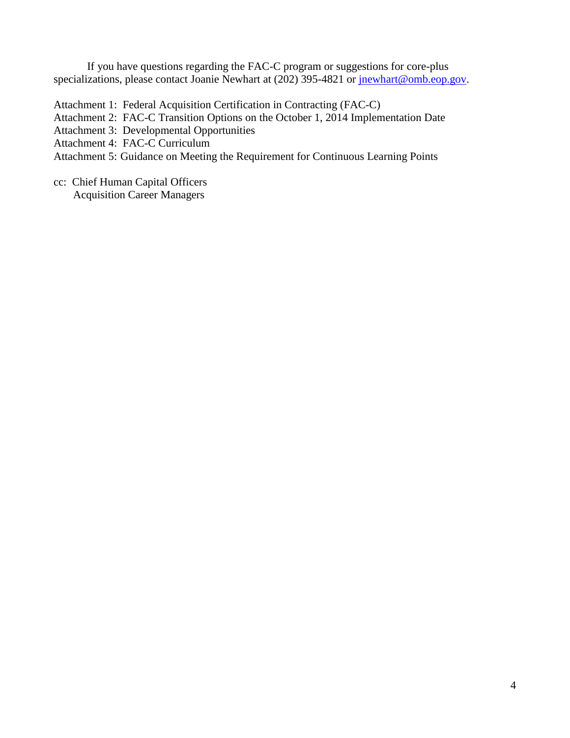If you have questions regarding the FAC-C program or suggestions for core-plus specializations, please contact Joanie Newhart at (202) 395-4821 or [jnewhart@omb.eop.gov.](file://sfomb01/home/Newhart_J/My%20Documents/jnewhart@omb.eop.gov)

Attachment 1: Federal Acquisition Certification in Contracting (FAC-C)

Attachment 2: FAC-C Transition Options on the October 1, 2014 Implementation Date

Attachment 3: Developmental Opportunities

Attachment 4: FAC-C Curriculum

Attachment 5: Guidance on Meeting the Requirement for Continuous Learning Points

cc: Chief Human Capital Officers

Acquisition Career Managers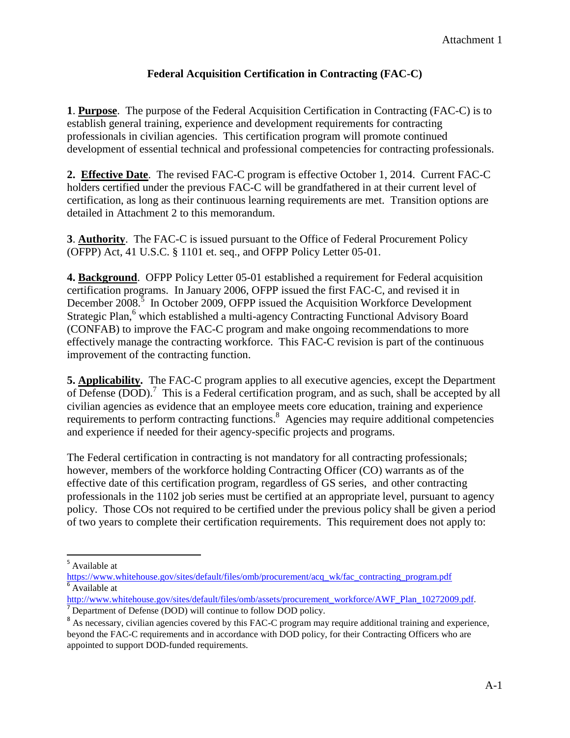## **Federal Acquisition Certification in Contracting (FAC-C)**

**1**. **Purpose**. The purpose of the Federal Acquisition Certification in Contracting (FAC-C) is to establish general training, experience and development requirements for contracting professionals in civilian agencies. This certification program will promote continued development of essential technical and professional competencies for contracting professionals.

**2. Effective Date**. The revised FAC-C program is effective October 1, 2014. Current FAC-C holders certified under the previous FAC-C will be grandfathered in at their current level of certification, as long as their continuous learning requirements are met. Transition options are detailed in Attachment 2 to this memorandum.

**3**. **Authority**. The FAC-C is issued pursuant to the Office of Federal Procurement Policy (OFPP) Act, 41 U.S.C. § 1101 et. seq., and OFPP Policy Letter 05-01.

**4. Background**. OFPP Policy Letter 05-01 established a requirement for Federal acquisition certification programs. In January 2006, OFPP issued the first FAC-C, and revised it in December  $2008$ <sup>5</sup> In October 2009, OFPP issued the Acquisition Workforce Development Strategic Plan,<sup>6</sup> which established a multi-agency Contracting Functional Advisory Board (CONFAB) to improve the FAC-C program and make ongoing recommendations to more effectively manage the contracting workforce. This FAC-C revision is part of the continuous improvement of the contracting function.

**5. Applicability.** The FAC-C program applies to all executive agencies, except the Department of Defense (DOD).<sup>7</sup> This is a Federal certification program, and as such, shall be accepted by all civilian agencies as evidence that an employee meets core education, training and experience requirements to perform contracting functions.<sup>8</sup> Agencies may require additional competencies and experience if needed for their agency-specific projects and programs.

The Federal certification in contracting is not mandatory for all contracting professionals; however, members of the workforce holding Contracting Officer (CO) warrants as of the effective date of this certification program, regardless of GS series, and other contracting professionals in the 1102 job series must be certified at an appropriate level, pursuant to agency policy. Those COs not required to be certified under the previous policy shall be given a period of two years to complete their certification requirements. This requirement does not apply to:

 $\overline{a}$ 

<sup>&</sup>lt;sup>5</sup> Available at

[https://www.whitehouse.gov/sites/default/files/omb/procurement/acq\\_wk/fac\\_contracting\\_program.pdf](https://www.whitehouse.gov/sites/default/files/omb/procurement/acq_wk/fac_contracting_program.pdf) Available at

[http://www.whitehouse.gov/sites/default/files/omb/assets/procurement\\_workforce/AWF\\_Plan\\_10272009.pdf](http://www.whitehouse.gov/sites/default/files/omb/assets/procurement_workforce/AWF_Plan_10272009.pdf). <sup>7</sup> Department of Defense (DOD) will continue to follow DOD policy.

<sup>&</sup>lt;sup>8</sup> As necessary, civilian agencies covered by this FAC-C program may require additional training and experience, beyond the FAC-C requirements and in accordance with DOD policy, for their Contracting Officers who are appointed to support DOD-funded requirements.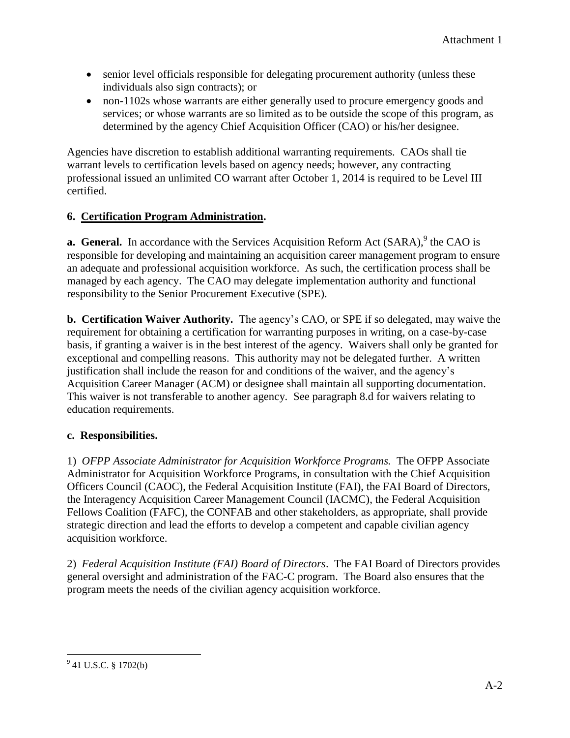- senior level officials responsible for delegating procurement authority (unless these individuals also sign contracts); or
- non-1102s whose warrants are either generally used to procure emergency goods and services; or whose warrants are so limited as to be outside the scope of this program, as determined by the agency Chief Acquisition Officer (CAO) or his/her designee.

Agencies have discretion to establish additional warranting requirements. CAOs shall tie warrant levels to certification levels based on agency needs; however, any contracting professional issued an unlimited CO warrant after October 1, 2014 is required to be Level III certified.

## **6. Certification Program Administration.**

**a. General.** In accordance with the Services Acquisition Reform Act (SARA),<sup>9</sup> the CAO is responsible for developing and maintaining an acquisition career management program to ensure an adequate and professional acquisition workforce. As such, the certification process shall be managed by each agency. The CAO may delegate implementation authority and functional responsibility to the Senior Procurement Executive (SPE).

**b. Certification Waiver Authority.** The agency's CAO, or SPE if so delegated, may waive the requirement for obtaining a certification for warranting purposes in writing, on a case-by-case basis, if granting a waiver is in the best interest of the agency. Waivers shall only be granted for exceptional and compelling reasons. This authority may not be delegated further. A written justification shall include the reason for and conditions of the waiver, and the agency's Acquisition Career Manager (ACM) or designee shall maintain all supporting documentation. This waiver is not transferable to another agency. See paragraph 8.d for waivers relating to education requirements.

## **c. Responsibilities.**

1)*OFPP Associate Administrator for Acquisition Workforce Programs.*The OFPP Associate Administrator for Acquisition Workforce Programs, in consultation with the Chief Acquisition Officers Council (CAOC), the Federal Acquisition Institute (FAI), the FAI Board of Directors, the Interagency Acquisition Career Management Council (IACMC), the Federal Acquisition Fellows Coalition (FAFC), the CONFAB and other stakeholders, as appropriate, shall provide strategic direction and lead the efforts to develop a competent and capable civilian agency acquisition workforce.

2) *Federal Acquisition Institute (FAI) Board of Directors*. The FAI Board of Directors provides general oversight and administration of the FAC-C program. The Board also ensures that the program meets the needs of the civilian agency acquisition workforce.

<sup>&</sup>lt;sup>9</sup> 41 U.S.C. § 1702(b)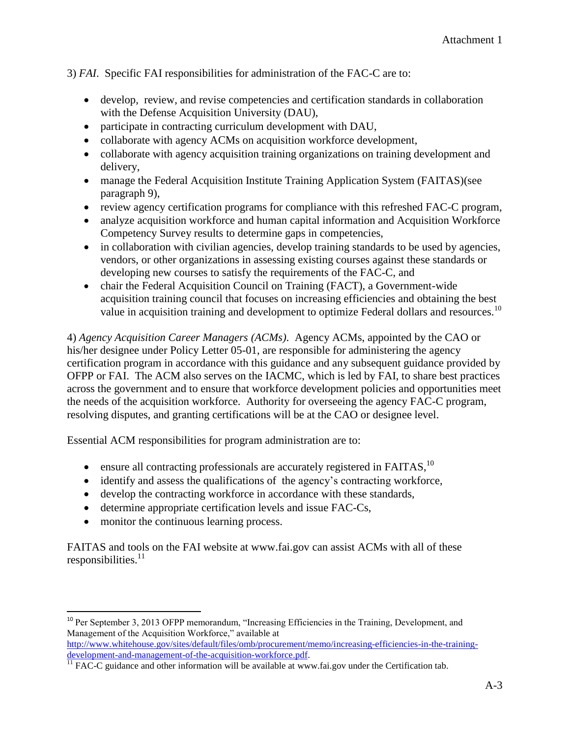#### 3) *FAI*. Specific FAI responsibilities for administration of the FAC-C are to:

- develop, review, and revise competencies and certification standards in collaboration with the Defense Acquisition University (DAU),
- participate in contracting curriculum development with DAU,
- collaborate with agency ACMs on acquisition workforce development,
- collaborate with agency acquisition training organizations on training development and delivery,
- manage the Federal Acquisition Institute Training Application System (FAITAS)(see paragraph 9),
- review agency certification programs for compliance with this refreshed FAC-C program,
- analyze acquisition workforce and human capital information and Acquisition Workforce Competency Survey results to determine gaps in competencies,
- in collaboration with civilian agencies, develop training standards to be used by agencies, vendors, or other organizations in assessing existing courses against these standards or developing new courses to satisfy the requirements of the FAC-C, and
- chair the Federal Acquisition Council on Training (FACT), a Government-wide acquisition training council that focuses on increasing efficiencies and obtaining the best value in acquisition training and development to optimize Federal dollars and resources.<sup>10</sup>

4) *Agency Acquisition Career Managers (ACMs)*. Agency ACMs, appointed by the CAO or his/her designee under Policy Letter 05-01, are responsible for administering the agency certification program in accordance with this guidance and any subsequent guidance provided by OFPP or FAI. The ACM also serves on the IACMC, which is led by FAI, to share best practices across the government and to ensure that workforce development policies and opportunities meet the needs of the acquisition workforce. Authority for overseeing the agency FAC-C program, resolving disputes, and granting certifications will be at the CAO or designee level.

Essential ACM responsibilities for program administration are to:

- **e** ensure all contracting professionals are accurately registered in FAITAS,  $^{10}$
- identify and assess the qualifications of the agency's contracting workforce,
- develop the contracting workforce in accordance with these standards,
- determine appropriate certification levels and issue FAC-Cs,
- monitor the continuous learning process.

FAITAS and tools on the FAI website at www.fai.gov can assist ACMs with all of these  $responsible!$ <sup>11</sup>

 $\overline{a}$ <sup>10</sup> Per September 3, 2013 OFPP memorandum, "Increasing Efficiencies in the Training, Development, and Management of the Acquisition Workforce," available at

[http://www.whitehouse.gov/sites/default/files/omb/procurement/memo/increasing-efficiencies-in-the-training](http://www.whitehouse.gov/sites/default/files/omb/procurement/memo/increasing-efficiencies-in-the-training-development-and-management-of-the-acquisition-workforce.pdf)[development-and-management-of-the-acquisition-workforce.pdf.](http://www.whitehouse.gov/sites/default/files/omb/procurement/memo/increasing-efficiencies-in-the-training-development-and-management-of-the-acquisition-workforce.pdf)

 $\overline{11}$  FAC-C guidance and other information will be available at www.fai.gov under the Certification tab.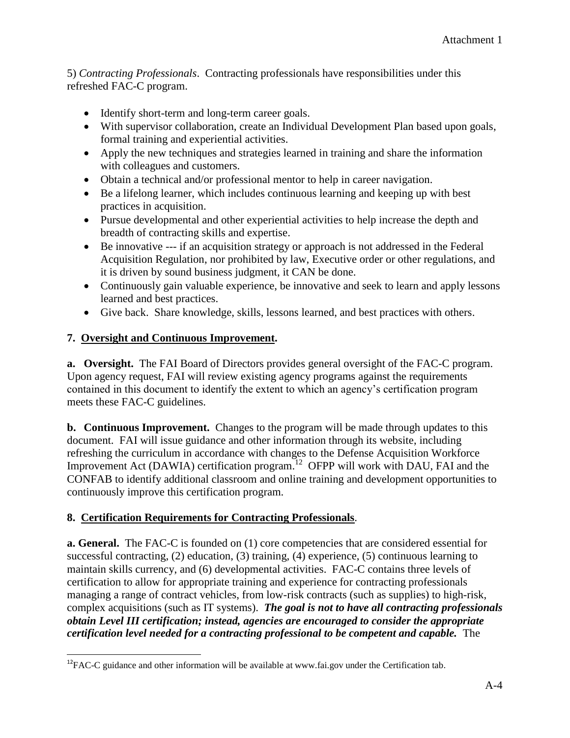5) *Contracting Professionals*. Contracting professionals have responsibilities under this refreshed FAC-C program.

- Identify short-term and long-term career goals.
- With supervisor collaboration, create an Individual Development Plan based upon goals, formal training and experiential activities.
- Apply the new techniques and strategies learned in training and share the information with colleagues and customers.
- Obtain a technical and/or professional mentor to help in career navigation.
- Be a lifelong learner, which includes continuous learning and keeping up with best practices in acquisition.
- Pursue developmental and other experiential activities to help increase the depth and breadth of contracting skills and expertise.
- Be innovative --- if an acquisition strategy or approach is not addressed in the Federal Acquisition Regulation, nor prohibited by law, Executive order or other regulations, and it is driven by sound business judgment, it CAN be done.
- Continuously gain valuable experience, be innovative and seek to learn and apply lessons learned and best practices.
- Give back. Share knowledge, skills, lessons learned, and best practices with others.

## **7. Oversight and Continuous Improvement.**

 $\overline{\phantom{a}}$ 

**a. Oversight.** The FAI Board of Directors provides general oversight of the FAC-C program. Upon agency request, FAI will review existing agency programs against the requirements contained in this document to identify the extent to which an agency's certification program meets these FAC-C guidelines.

**b. Continuous Improvement.** Changes to the program will be made through updates to this document. FAI will issue guidance and other information through its website, including refreshing the curriculum in accordance with changes to the Defense Acquisition Workforce Improvement Act (DAWIA) certification program.<sup>12</sup> OFPP will work with DAU, FAI and the CONFAB to identify additional classroom and online training and development opportunities to continuously improve this certification program.

## **8. Certification Requirements for Contracting Professionals**.

**a. General.** The FAC-C is founded on (1) core competencies that are considered essential for successful contracting, (2) education, (3) training, (4) experience, (5) continuous learning to maintain skills currency, and (6) developmental activities. FAC-C contains three levels of certification to allow for appropriate training and experience for contracting professionals managing a range of contract vehicles, from low-risk contracts (such as supplies) to high-risk, complex acquisitions (such as IT systems). *The goal is not to have all contracting professionals obtain Level III certification; instead, agencies are encouraged to consider the appropriate certification level needed for a contracting professional to be competent and capable.* The

<sup>&</sup>lt;sup>12</sup>FAC-C guidance and other information will be available at www.fai.gov under the Certification tab.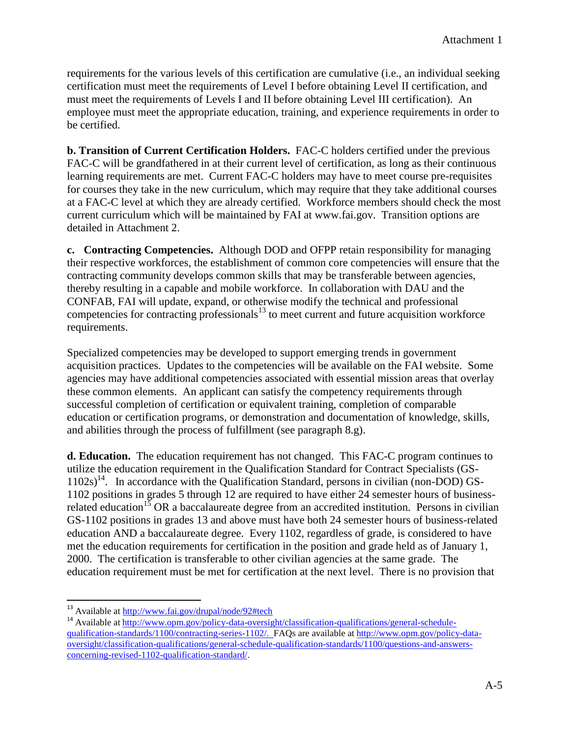requirements for the various levels of this certification are cumulative (i.e., an individual seeking certification must meet the requirements of Level I before obtaining Level II certification, and must meet the requirements of Levels I and II before obtaining Level III certification). An employee must meet the appropriate education, training, and experience requirements in order to be certified.

**b. Transition of Current Certification Holders.** FAC-C holders certified under the previous FAC-C will be grandfathered in at their current level of certification, as long as their continuous learning requirements are met. Current FAC-C holders may have to meet course pre-requisites for courses they take in the new curriculum, which may require that they take additional courses at a FAC-C level at which they are already certified. Workforce members should check the most current curriculum which will be maintained by FAI at www.fai.gov. Transition options are detailed in Attachment 2.

**c. Contracting Competencies.** Although DOD and OFPP retain responsibility for managing their respective workforces, the establishment of common core competencies will ensure that the contracting community develops common skills that may be transferable between agencies, thereby resulting in a capable and mobile workforce. In collaboration with DAU and the CONFAB, FAI will update, expand, or otherwise modify the technical and professional competencies for contracting professionals $^{13}$  to meet current and future acquisition workforce requirements.

Specialized competencies may be developed to support emerging trends in government acquisition practices. Updates to the competencies will be available on the FAI website. Some agencies may have additional competencies associated with essential mission areas that overlay these common elements. An applicant can satisfy the competency requirements through successful completion of certification or equivalent training, completion of comparable education or certification programs, or demonstration and documentation of knowledge, skills, and abilities through the process of fulfillment (see paragraph 8.g).

**d. Education.** The education requirement has not changed.This FAC-C program continues to utilize the education requirement in the Qualification Standard for Contract Specialists (GS-1102s)<sup>14</sup>. In accordance with the Qualification Standard, persons in civilian (non-DOD) GS-1102 positions in grades 5 through 12 are required to have either 24 semester hours of businessrelated education<sup>15</sup> OR a baccalaureate degree from an accredited institution. Persons in civilian GS-1102 positions in grades 13 and above must have both 24 semester hours of business-related education AND a baccalaureate degree. Every 1102, regardless of grade, is considered to have met the education requirements for certification in the position and grade held as of January 1, 2000. The certification is transferable to other civilian agencies at the same grade. The education requirement must be met for certification at the next level. There is no provision that

 $\overline{\phantom{a}}$ 

<sup>&</sup>lt;sup>13</sup> Available at<http://www.fai.gov/drupal/node/92#tech>

<sup>&</sup>lt;sup>14</sup> Available at [http://www.opm.gov/policy-data-oversight/classification-qualifications/general-schedule](http://www.opm.gov/policy-data-oversight/classification-qualifications/general-schedule-qualification-standards/1100/contracting-series-1102/)[qualification-standards/1100/contracting-series-1102/.](http://www.opm.gov/policy-data-oversight/classification-qualifications/general-schedule-qualification-standards/1100/contracting-series-1102/) FAQs are available at [http://www.opm.gov/policy-data](http://www.opm.gov/policy-data-oversight/classification-qualifications/general-schedule-qualification-standards/1100/questions-and-answers-concerning-revised-1102-qualification-standard/)[oversight/classification-qualifications/general-schedule-qualification-standards/1100/questions-and-answers](http://www.opm.gov/policy-data-oversight/classification-qualifications/general-schedule-qualification-standards/1100/questions-and-answers-concerning-revised-1102-qualification-standard/)[concerning-revised-1102-qualification-standard/.](http://www.opm.gov/policy-data-oversight/classification-qualifications/general-schedule-qualification-standards/1100/questions-and-answers-concerning-revised-1102-qualification-standard/)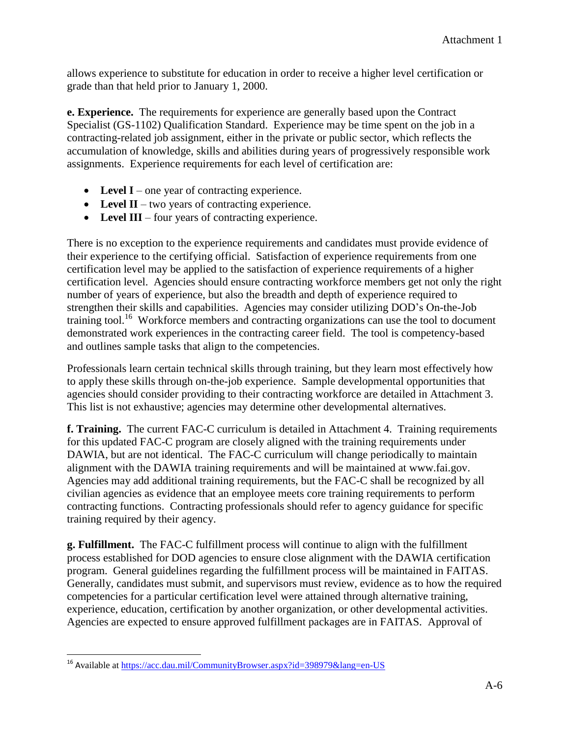allows experience to substitute for education in order to receive a higher level certification or grade than that held prior to January 1, 2000.

**e. Experience.** The requirements for experience are generally based upon the Contract Specialist (GS-1102) Qualification Standard. Experience may be time spent on the job in a contracting-related job assignment, either in the private or public sector, which reflects the accumulation of knowledge, skills and abilities during years of progressively responsible work assignments. Experience requirements for each level of certification are:

- Level I one year of contracting experience.
- Level II two years of contracting experience.
- **Level III**  four years of contracting experience.

There is no exception to the experience requirements and candidates must provide evidence of their experience to the certifying official. Satisfaction of experience requirements from one certification level may be applied to the satisfaction of experience requirements of a higher certification level. Agencies should ensure contracting workforce members get not only the right number of years of experience, but also the breadth and depth of experience required to strengthen their skills and capabilities. Agencies may consider utilizing DOD's On-the-Job training tool.<sup>16</sup> Workforce members and contracting organizations can use the tool to document demonstrated work experiences in the contracting career field. The tool is competency-based and outlines sample tasks that align to the competencies.

Professionals learn certain technical skills through training, but they learn most effectively how to apply these skills through on-the-job experience. Sample developmental opportunities that agencies should consider providing to their contracting workforce are detailed in Attachment 3. This list is not exhaustive; agencies may determine other developmental alternatives.

**f. Training.** The current FAC-C curriculum is detailed in Attachment 4. Training requirements for this updated FAC-C program are closely aligned with the training requirements under DAWIA, but are not identical. The FAC-C curriculum will change periodically to maintain alignment with the DAWIA training requirements and will be maintained at www.fai.gov. Agencies may add additional training requirements, but the FAC-C shall be recognized by all civilian agencies as evidence that an employee meets core training requirements to perform contracting functions. Contracting professionals should refer to agency guidance for specific training required by their agency.

**g. Fulfillment.** The FAC-C fulfillment process will continue to align with the fulfillment process established for DOD agencies to ensure close alignment with the DAWIA certification program. General guidelines regarding the fulfillment process will be maintained in FAITAS. Generally, candidates must submit, and supervisors must review, evidence as to how the required competencies for a particular certification level were attained through alternative training, experience, education, certification by another organization, or other developmental activities. Agencies are expected to ensure approved fulfillment packages are in FAITAS. Approval of

 $\overline{\phantom{a}}$ <sup>16</sup> Available at<https://acc.dau.mil/CommunityBrowser.aspx?id=398979&lang=en-US>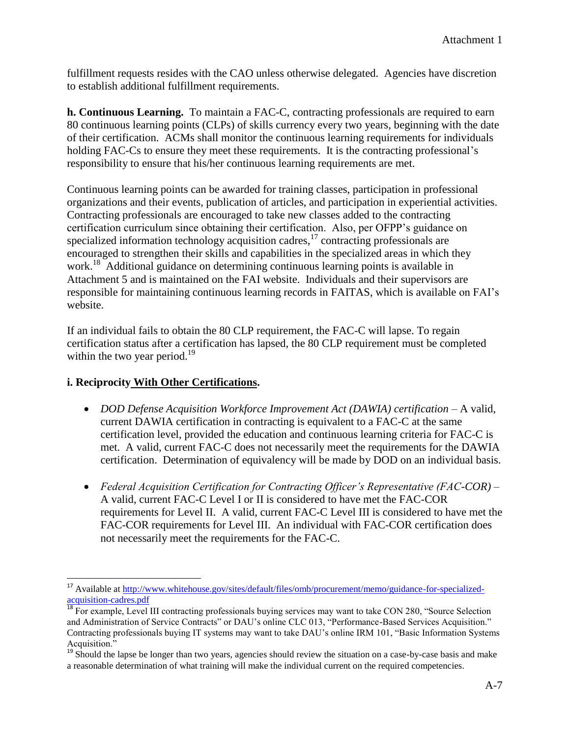fulfillment requests resides with the CAO unless otherwise delegated. Agencies have discretion to establish additional fulfillment requirements.

**h. Continuous Learning.** To maintain a FAC-C, contracting professionals are required to earn 80 continuous learning points (CLPs) of skills currency every two years, beginning with the date of their certification. ACMs shall monitor the continuous learning requirements for individuals holding FAC-Cs to ensure they meet these requirements. It is the contracting professional's responsibility to ensure that his/her continuous learning requirements are met.

Continuous learning points can be awarded for training classes, participation in professional organizations and their events, publication of articles, and participation in experiential activities. Contracting professionals are encouraged to take new classes added to the contracting certification curriculum since obtaining their certification. Also, per OFPP's guidance on specialized information technology acquisition cadres,<sup>17</sup> contracting professionals are encouraged to strengthen their skills and capabilities in the specialized areas in which they work.<sup>18</sup> Additional guidance on determining continuous learning points is available in Attachment 5 and is maintained on the FAI website. Individuals and their supervisors are responsible for maintaining continuous learning records in FAITAS, which is available on FAI's website.

If an individual fails to obtain the 80 CLP requirement, the FAC-C will lapse. To regain certification status after a certification has lapsed, the 80 CLP requirement must be completed within the two year period. $^{19}$ 

### **i. Reciprocity With Other Certifications.**

l

- *DOD Defense Acquisition Workforce Improvement Act (DAWIA) certification* A valid, current DAWIA certification in contracting is equivalent to a FAC-C at the same certification level, provided the education and continuous learning criteria for FAC-C is met. A valid, current FAC-C does not necessarily meet the requirements for the DAWIA certification. Determination of equivalency will be made by DOD on an individual basis.
- *Federal Acquisition Certification for Contracting Officer's Representative (FAC-COR)* A valid, current FAC-C Level I or II is considered to have met the FAC-COR requirements for Level II. A valid, current FAC-C Level III is considered to have met the FAC-COR requirements for Level III. An individual with FAC-COR certification does not necessarily meet the requirements for the FAC-C.

<sup>&</sup>lt;sup>17</sup> Available at [http://www.whitehouse.gov/sites/default/files/omb/procurement/memo/guidance-for-specialized](http://www.whitehouse.gov/sites/default/files/omb/procurement/memo/guidance-for-specialized-acquisition-cadres.pdf)[acquisition-cadres.pdf](http://www.whitehouse.gov/sites/default/files/omb/procurement/memo/guidance-for-specialized-acquisition-cadres.pdf)

<sup>&</sup>lt;sup>18</sup> For example, Level III contracting professionals buying services may want to take CON 280, "Source Selection and Administration of Service Contracts" or DAU's online CLC 013, "Performance-Based Services Acquisition." Contracting professionals buying IT systems may want to take DAU's online IRM 101, "Basic Information Systems Acquisition."

<sup>&</sup>lt;sup>19</sup> Should the lapse be longer than two years, agencies should review the situation on a case-by-case basis and make a reasonable determination of what training will make the individual current on the required competencies.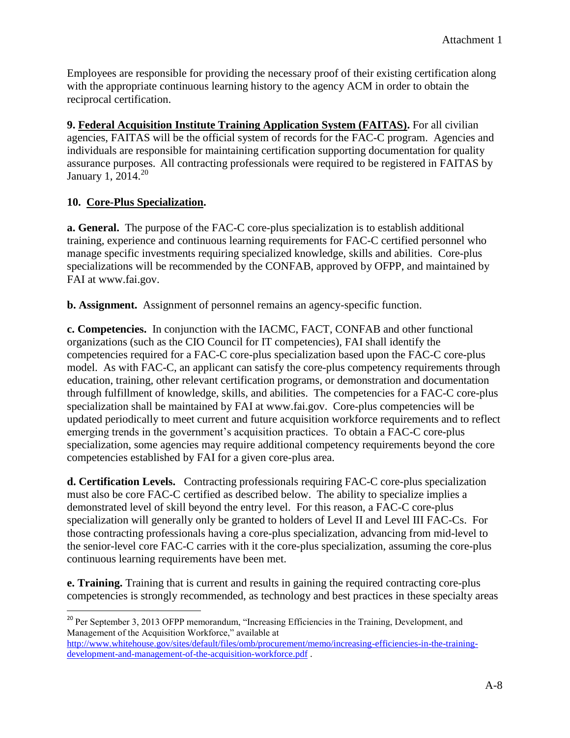Employees are responsible for providing the necessary proof of their existing certification along with the appropriate continuous learning history to the agency ACM in order to obtain the reciprocal certification.

**9. Federal Acquisition Institute Training Application System (FAITAS).** For all civilian agencies, FAITAS will be the official system of records for the FAC-C program. Agencies and individuals are responsible for maintaining certification supporting documentation for quality assurance purposes. All contracting professionals were required to be registered in FAITAS by January 1, 2014.<sup>20</sup>

### **10. Core-Plus Specialization.**

 $\overline{a}$ 

**a. General.** The purpose of the FAC-C core-plus specialization is to establish additional training, experience and continuous learning requirements for FAC-C certified personnel who manage specific investments requiring specialized knowledge, skills and abilities. Core-plus specializations will be recommended by the CONFAB, approved by OFPP, and maintained by FAI at www.fai.gov.

**b. Assignment.** Assignment of personnel remains an agency-specific function.

**c. Competencies.** In conjunction with the IACMC, FACT, CONFAB and other functional organizations (such as the CIO Council for IT competencies), FAI shall identify the competencies required for a FAC-C core-plus specialization based upon the FAC-C core-plus model. As with FAC-C, an applicant can satisfy the core-plus competency requirements through education, training, other relevant certification programs, or demonstration and documentation through fulfillment of knowledge, skills, and abilities. The competencies for a FAC-C core-plus specialization shall be maintained by FAI at www.fai.gov. Core-plus competencies will be updated periodically to meet current and future acquisition workforce requirements and to reflect emerging trends in the government's acquisition practices. To obtain a FAC-C core-plus specialization, some agencies may require additional competency requirements beyond the core competencies established by FAI for a given core-plus area.

**d. Certification Levels.** Contracting professionals requiring FAC-C core-plus specialization must also be core FAC-C certified as described below. The ability to specialize implies a demonstrated level of skill beyond the entry level. For this reason, a FAC-C core-plus specialization will generally only be granted to holders of Level II and Level III FAC-Cs. For those contracting professionals having a core-plus specialization, advancing from mid-level to the senior-level core FAC-C carries with it the core-plus specialization, assuming the core-plus continuous learning requirements have been met.

**e. Training.** Training that is current and results in gaining the required contracting core-plus competencies is strongly recommended, as technology and best practices in these specialty areas

<sup>&</sup>lt;sup>20</sup> Per September 3, 2013 OFPP memorandum, "Increasing Efficiencies in the Training, Development, and Management of the Acquisition Workforce," available at [http://www.whitehouse.gov/sites/default/files/omb/procurement/memo/increasing-efficiencies-in-the-training](http://www.whitehouse.gov/sites/default/files/omb/procurement/memo/increasing-efficiencies-in-the-training-development-and-management-of-the-acquisition-workforce.pdf)[development-and-management-of-the-acquisition-workforce.pdf](http://www.whitehouse.gov/sites/default/files/omb/procurement/memo/increasing-efficiencies-in-the-training-development-and-management-of-the-acquisition-workforce.pdf) .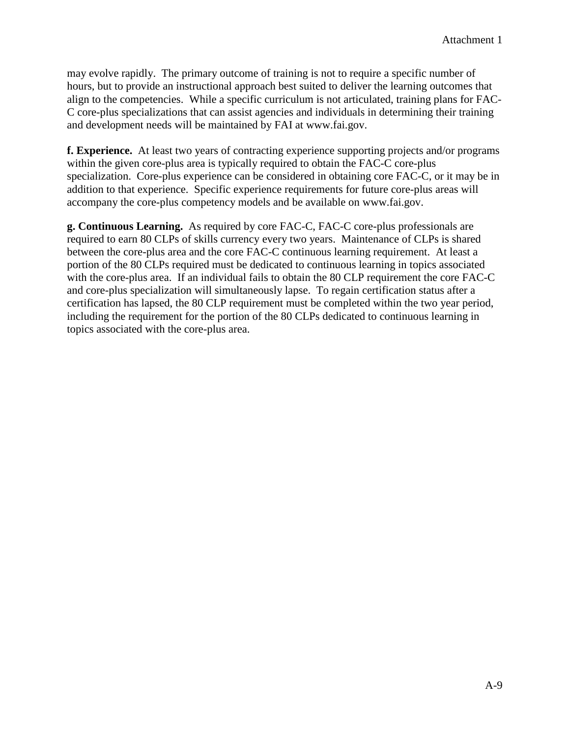may evolve rapidly. The primary outcome of training is not to require a specific number of hours, but to provide an instructional approach best suited to deliver the learning outcomes that align to the competencies. While a specific curriculum is not articulated, training plans for FAC-C core-plus specializations that can assist agencies and individuals in determining their training and development needs will be maintained by FAI at www.fai.gov.

**f. Experience.** At least two years of contracting experience supporting projects and/or programs within the given core-plus area is typically required to obtain the FAC-C core-plus specialization. Core-plus experience can be considered in obtaining core FAC-C, or it may be in addition to that experience. Specific experience requirements for future core-plus areas will accompany the core-plus competency models and be available on www.fai.gov.

**g. Continuous Learning.** As required by core FAC-C, FAC-C core-plus professionals are required to earn 80 CLPs of skills currency every two years. Maintenance of CLPs is shared between the core-plus area and the core FAC-C continuous learning requirement. At least a portion of the 80 CLPs required must be dedicated to continuous learning in topics associated with the core-plus area. If an individual fails to obtain the 80 CLP requirement the core FAC-C and core-plus specialization will simultaneously lapse. To regain certification status after a certification has lapsed, the 80 CLP requirement must be completed within the two year period, including the requirement for the portion of the 80 CLPs dedicated to continuous learning in topics associated with the core-plus area.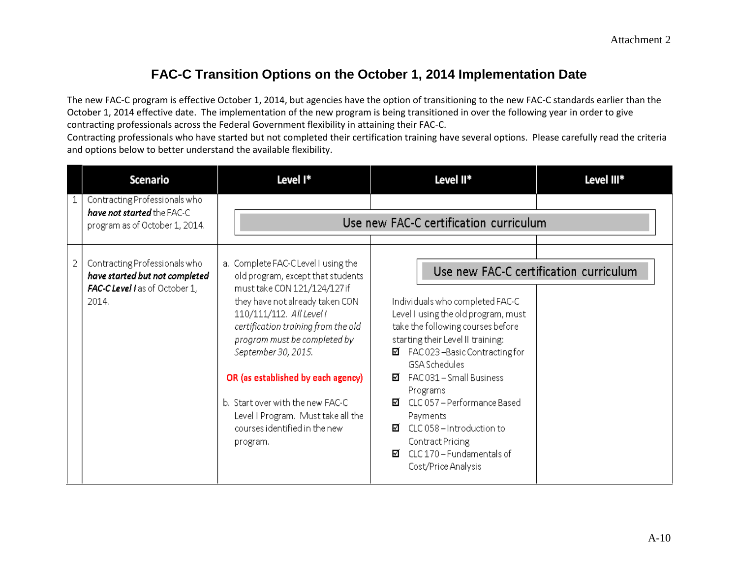## **FAC-C Transition Options on the October 1, 2014 Implementation Date**

The new FAC-C program is effective October 1, 2014, but agencies have the option of transitioning to the new FAC-C standards earlier than the October 1, 2014 effective date. The implementation of the new program is being transitioned in over the following year in order to give contracting professionals across the Federal Government flexibility in attaining their FAC-C.

Contracting professionals who have started but not completed their certification training have several options. Please carefully read the criteria and options below to better understand the available flexibility.

|   | <b>Scenario</b>                                                                                            | Level I*                                                                                                                                                                                                                                                                                                                                                                                                                            | Level II*                                                                                                                                                                                                                                                                                                                                                                                                                                                               | Level III* |
|---|------------------------------------------------------------------------------------------------------------|-------------------------------------------------------------------------------------------------------------------------------------------------------------------------------------------------------------------------------------------------------------------------------------------------------------------------------------------------------------------------------------------------------------------------------------|-------------------------------------------------------------------------------------------------------------------------------------------------------------------------------------------------------------------------------------------------------------------------------------------------------------------------------------------------------------------------------------------------------------------------------------------------------------------------|------------|
|   | Contracting Professionals who<br>have not started the FAC-C<br>program as of October 1, 2014.              |                                                                                                                                                                                                                                                                                                                                                                                                                                     | Use new FAC-C certification curriculum                                                                                                                                                                                                                                                                                                                                                                                                                                  |            |
| 2 | Contracting Professionals who<br>have started but not completed<br>FAC-C Level I as of October 1,<br>2014. | a. Complete FAC-C Level I using the<br>old program, except that students<br>must take CON 121/124/127 if<br>they have not already taken CON<br>110/111/112. All Level I<br>certification training from the old<br>program must be completed by<br>September 30, 2015.<br>OR (as established by each agency)<br>b. Start over with the new FAC-C.<br>Level I Program. Must take all the<br>courses identified in the new<br>program. | Use new FAC-C certification curriculum<br>Individuals who completed FAC-C.<br>Level I using the old program, must<br>take the following courses before<br>starting their Level II training:<br>FAC023-Basic Contracting for<br>⊠.<br><b>GSA Schedules</b><br>FAC031 - Small Business<br>М.<br>Programs<br>CLC 057 - Performance Based<br>☑.<br>Payments<br>CLC 058 - Introduction to<br>И.<br>Contract Pricing<br>CLC 170 - Fundamentals of<br>М<br>Cost/Price Analysis |            |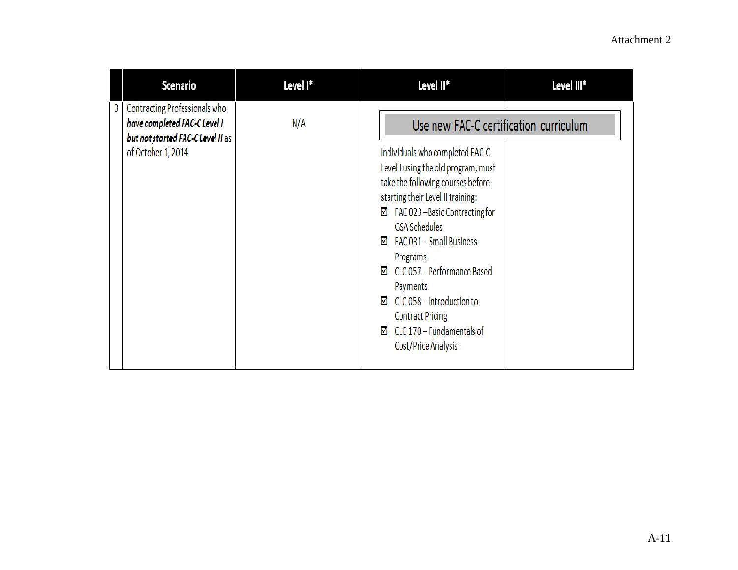|                         | <b>Scenario</b>                                                                                    | Level I* | Level II*                                                                                                                                                                                                                                                                                                                                                                                                                                                                                        | Level III* |
|-------------------------|----------------------------------------------------------------------------------------------------|----------|--------------------------------------------------------------------------------------------------------------------------------------------------------------------------------------------------------------------------------------------------------------------------------------------------------------------------------------------------------------------------------------------------------------------------------------------------------------------------------------------------|------------|
| 3<br>of October 1, 2014 | Contracting Professionals who<br>have completed FAC-C Level I<br>but not started FAC-C Level II as | N/A      | Use new FAC-C certification curriculum<br>Individuals who completed FAC-C<br>Level I using the old program, must<br>take the following courses before<br>starting their Level II training:<br>FAC 023-Basic Contracting for<br>☑<br><b>GSA Schedules</b><br>$\boxtimes$ FAC 031 – Small Business<br>Programs<br>$\boxtimes$ CLC 057 – Performance Based<br>Payments<br>$\boxtimes$ CLC 058 – Introduction to<br><b>Contract Pricing</b><br>CLC 170 - Fundamentals of<br>☑<br>Cost/Price Analysis |            |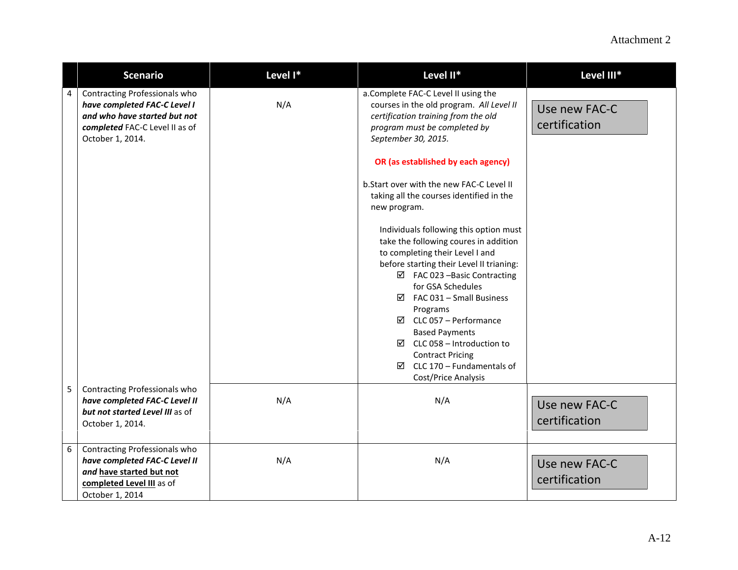## Attachment 2

|   | <b>Scenario</b>                                                                                                                                     | Level I* | Level II*                                                                                                                                                                                                                                                                                                                                                                                                                                                                                                                                                                                                                                                                                                                                                                                                           | Level III*                     |
|---|-----------------------------------------------------------------------------------------------------------------------------------------------------|----------|---------------------------------------------------------------------------------------------------------------------------------------------------------------------------------------------------------------------------------------------------------------------------------------------------------------------------------------------------------------------------------------------------------------------------------------------------------------------------------------------------------------------------------------------------------------------------------------------------------------------------------------------------------------------------------------------------------------------------------------------------------------------------------------------------------------------|--------------------------------|
| 4 | Contracting Professionals who<br>have completed FAC-C Level I<br>and who have started but not<br>completed FAC-C Level II as of<br>October 1, 2014. | N/A      | a.Complete FAC-C Level II using the<br>courses in the old program. All Level II<br>certification training from the old<br>program must be completed by<br>September 30, 2015.<br>OR (as established by each agency)<br>b. Start over with the new FAC-C Level II<br>taking all the courses identified in the<br>new program.<br>Individuals following this option must<br>take the following coures in addition<br>to completing their Level I and<br>before starting their Level II trianing:<br>$\boxtimes$ FAC 023 -Basic Contracting<br>for GSA Schedules<br>$\boxtimes$ FAC 031 - Small Business<br>Programs<br>$\boxtimes$ CLC 057 – Performance<br><b>Based Payments</b><br>$\boxtimes$ CLC 058 – Introduction to<br><b>Contract Pricing</b><br>$\boxtimes$ CLC 170 – Fundamentals of<br>Cost/Price Analysis | Use new FAC-C<br>certification |
| 5 | Contracting Professionals who<br>have completed FAC-C Level II<br>but not started Level III as of<br>October 1, 2014.                               | N/A      | N/A                                                                                                                                                                                                                                                                                                                                                                                                                                                                                                                                                                                                                                                                                                                                                                                                                 | Use new FAC-C<br>certification |
| 6 | Contracting Professionals who<br>have completed FAC-C Level II<br>and have started but not<br>completed Level III as of<br>October 1, 2014          | N/A      | N/A                                                                                                                                                                                                                                                                                                                                                                                                                                                                                                                                                                                                                                                                                                                                                                                                                 | Use new FAC-C<br>certification |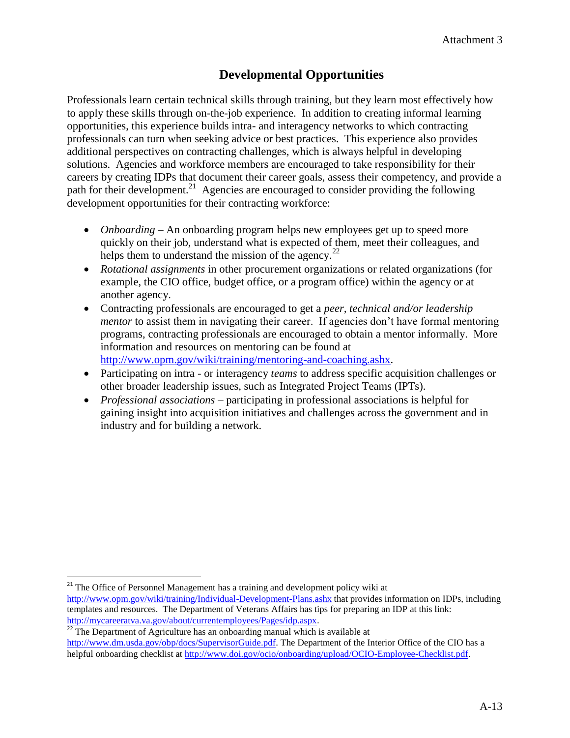## **Developmental Opportunities**

Professionals learn certain technical skills through training, but they learn most effectively how to apply these skills through on-the-job experience. In addition to creating informal learning opportunities, this experience builds intra- and interagency networks to which contracting professionals can turn when seeking advice or best practices. This experience also provides additional perspectives on contracting challenges, which is always helpful in developing solutions. Agencies and workforce members are encouraged to take responsibility for their careers by creating IDPs that document their career goals, assess their competency, and provide a path for their development.<sup>21</sup> Agencies are encouraged to consider providing the following development opportunities for their contracting workforce:

- *Onboarding* An onboarding program helps new employees get up to speed more quickly on their job, understand what is expected of them, meet their colleagues, and helps them to understand the mission of the agency. $22$
- *Rotational assignments* in other procurement organizations or related organizations (for example, the CIO office, budget office, or a program office) within the agency or at another agency.
- Contracting professionals are encouraged to get a *peer, technical and/or leadership mentor* to assist them in navigating their career. If agencies don't have formal mentoring programs, contracting professionals are encouraged to obtain a mentor informally. More information and resources on mentoring can be found at [http://www.opm.gov/wiki/training/mentoring-and-coaching.ashx.](http://www.opm.gov/wiki/training/mentoring-and-coaching.ashx)
- Participating on intra or interagency *teams* to address specific acquisition challenges or other broader leadership issues, such as Integrated Project Teams (IPTs).
- *Professional associations* participating in professional associations is helpful for gaining insight into acquisition initiatives and challenges across the government and in industry and for building a network.

<sup>21</sup> The Office of Personnel Management has a training and development policy wiki at

 $\overline{\phantom{a}}$ 

<http://www.opm.gov/wiki/training/Individual-Development-Plans.ashx> that provides information on IDPs, including templates and resources. The Department of Veterans Affairs has tips for preparing an IDP at this link: <http://mycareeratva.va.gov/about/currentemployees/Pages/idp.aspx>.

 $\frac{22}{2}$  The Department of Agriculture has an onboarding manual which is available at [http://www.dm.usda.gov/obp/docs/SupervisorGuide.pdf.](http://www.dm.usda.gov/obp/docs/SupervisorGuide.pdf) The Department of the Interior Office of the CIO has a helpful onboarding checklist at <http://www.doi.gov/ocio/onboarding/upload/OCIO-Employee-Checklist.pdf>.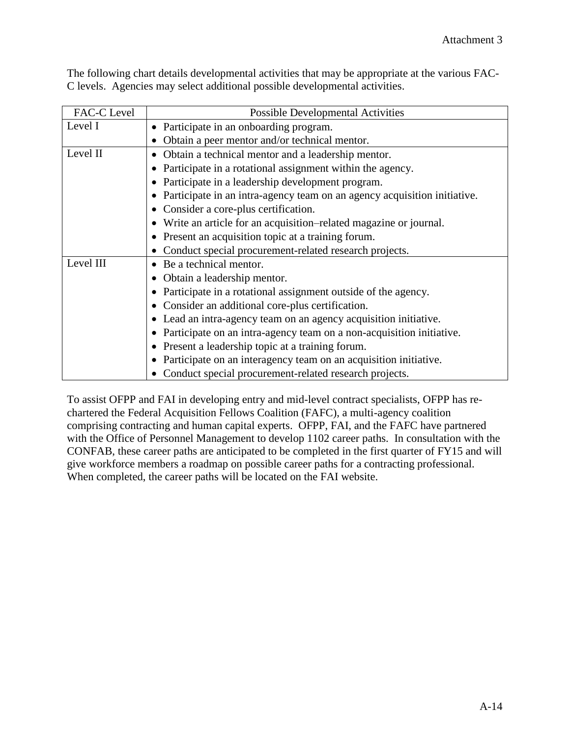| FAC-C Level | <b>Possible Developmental Activities</b>                                 |  |
|-------------|--------------------------------------------------------------------------|--|
| Level I     | Participate in an onboarding program.                                    |  |
|             | Obtain a peer mentor and/or technical mentor.                            |  |
| Level II    | Obtain a technical mentor and a leadership mentor.<br>$\bullet$          |  |
|             | Participate in a rotational assignment within the agency.                |  |
|             | Participate in a leadership development program.                         |  |
|             | Participate in an intra-agency team on an agency acquisition initiative. |  |
|             | Consider a core-plus certification.                                      |  |
|             | Write an article for an acquisition–related magazine or journal.         |  |
|             | Present an acquisition topic at a training forum.                        |  |
|             | Conduct special procurement-related research projects.                   |  |
| Level III   | Be a technical mentor.<br>$\bullet$                                      |  |
|             | Obtain a leadership mentor.                                              |  |
|             | Participate in a rotational assignment outside of the agency.            |  |
|             | Consider an additional core-plus certification.                          |  |
|             | Lead an intra-agency team on an agency acquisition initiative.           |  |
|             | Participate on an intra-agency team on a non-acquisition initiative.     |  |
|             | Present a leadership topic at a training forum.                          |  |
|             | Participate on an interagency team on an acquisition initiative.         |  |
|             | Conduct special procurement-related research projects.                   |  |

The following chart details developmental activities that may be appropriate at the various FAC-C levels. Agencies may select additional possible developmental activities.

To assist OFPP and FAI in developing entry and mid-level contract specialists, OFPP has rechartered the Federal Acquisition Fellows Coalition (FAFC), a multi-agency coalition comprising contracting and human capital experts. OFPP, FAI, and the FAFC have partnered with the Office of Personnel Management to develop 1102 career paths. In consultation with the CONFAB, these career paths are anticipated to be completed in the first quarter of FY15 and will give workforce members a roadmap on possible career paths for a contracting professional. When completed, the career paths will be located on the FAI website.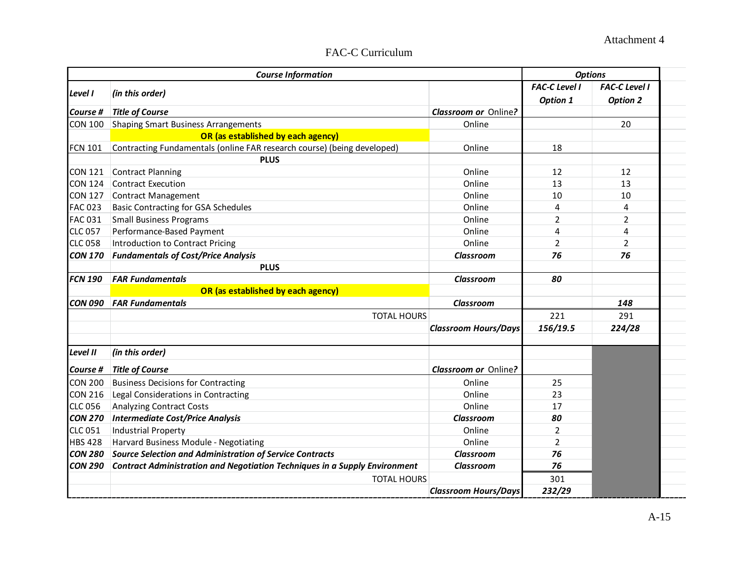## FAC-C Curriculum

|                | <b>Course Information</b>                                                         |                             | <b>Options</b>                          |                                         |
|----------------|-----------------------------------------------------------------------------------|-----------------------------|-----------------------------------------|-----------------------------------------|
| Level I        | (in this order)                                                                   |                             | <b>FAC-C Level I</b><br><b>Option 1</b> | <b>FAC-C Level I</b><br><b>Option 2</b> |
| Course #       | <b>Title of Course</b>                                                            | <b>Classroom or Online?</b> |                                         |                                         |
| <b>CON 100</b> | <b>Shaping Smart Business Arrangements</b>                                        | Online                      |                                         | 20                                      |
|                | OR (as established by each agency)                                                |                             |                                         |                                         |
| <b>FCN 101</b> | Contracting Fundamentals (online FAR research course) (being developed)           | Online                      | 18                                      |                                         |
|                | <b>PLUS</b>                                                                       |                             |                                         |                                         |
| <b>CON 121</b> | Contract Planning                                                                 | Online                      | 12                                      | 12                                      |
| <b>CON 124</b> | Contract Execution                                                                | Online                      | 13                                      | 13                                      |
| <b>CON 127</b> | Contract Management                                                               | Online                      | 10                                      | 10                                      |
| <b>FAC 023</b> | <b>Basic Contracting for GSA Schedules</b>                                        | Online                      | 4                                       | $\overline{4}$                          |
| <b>FAC 031</b> | <b>Small Business Programs</b>                                                    | Online                      | $\overline{2}$                          | $\overline{2}$                          |
| <b>CLC 057</b> | Performance-Based Payment                                                         | Online                      | $\overline{4}$                          | 4                                       |
| <b>CLC 058</b> | Introduction to Contract Pricing                                                  | Online                      | $\overline{2}$                          | $\overline{2}$                          |
| <b>CON 170</b> | <b>Fundamentals of Cost/Price Analysis</b>                                        | <b>Classroom</b>            | 76                                      | 76                                      |
|                | <b>PLUS</b>                                                                       |                             |                                         |                                         |
| <b>FCN 190</b> | <b>FAR Fundamentals</b>                                                           | <b>Classroom</b>            | 80                                      |                                         |
|                | OR (as established by each agency)                                                |                             |                                         |                                         |
| <b>CON 090</b> | <b>FAR Fundamentals</b>                                                           | Classroom                   |                                         | 148                                     |
|                | <b>TOTAL HOURS</b>                                                                |                             | 221                                     | 291                                     |
|                |                                                                                   | <b>Classroom Hours/Days</b> | 156/19.5                                | 224/28                                  |
| Level II       | (in this order)                                                                   |                             |                                         |                                         |
| Course #       | <b>Title of Course</b>                                                            | <b>Classroom or Online?</b> |                                         |                                         |
| <b>CON 200</b> | <b>Business Decisions for Contracting</b>                                         | Online                      | 25                                      |                                         |
| <b>CON 216</b> | Legal Considerations in Contracting                                               | Online                      | 23                                      |                                         |
| <b>CLC 056</b> | <b>Analyzing Contract Costs</b>                                                   | Online                      | 17                                      |                                         |
| <b>CON 270</b> | <b>Intermediate Cost/Price Analysis</b>                                           | Classroom                   | 80                                      |                                         |
| <b>CLC 051</b> | <b>Industrial Property</b>                                                        | Online                      | $\overline{2}$                          |                                         |
| <b>HBS 428</b> | Harvard Business Module - Negotiating                                             | Online                      | $\overline{2}$                          |                                         |
| <b>CON 280</b> | <b>Source Selection and Administration of Service Contracts</b>                   | <b>Classroom</b>            | 76                                      |                                         |
| <b>CON 290</b> | <b>Contract Administration and Negotiation Techniques in a Supply Environment</b> | <b>Classroom</b>            | 76                                      |                                         |
|                | <b>TOTAL HOURS</b>                                                                |                             | 301                                     |                                         |
|                |                                                                                   | <b>Classroom Hours/Days</b> | 232/29                                  |                                         |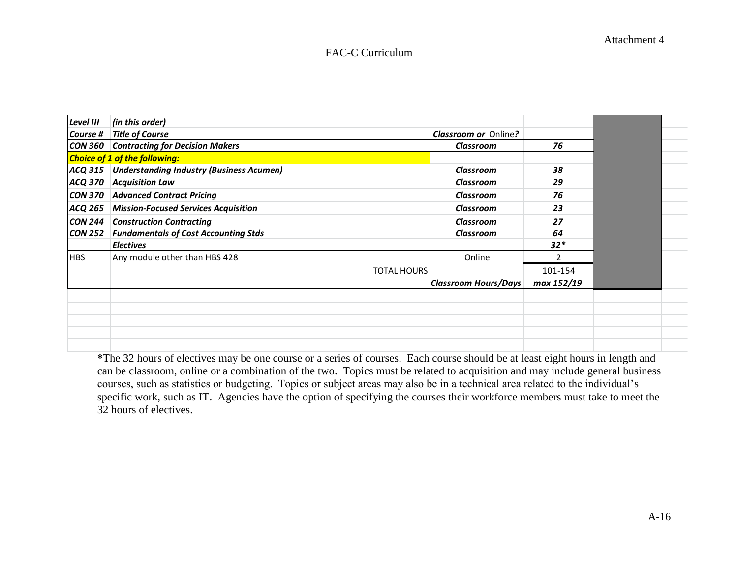#### FAC-C Curriculum

| Level III      | (in this order)                                     |                             |            |
|----------------|-----------------------------------------------------|-----------------------------|------------|
|                | Course #   Title of Course                          | <b>Classroom or Online?</b> |            |
|                | <b>CON 360 Contracting for Decision Makers</b>      | <b>Classroom</b>            | 76         |
|                | <b>Choice of 1 of the following:</b>                |                             |            |
|                | ACQ 315 Understanding Industry (Business Acumen)    | Classroom                   | 38         |
| <b>ACQ 370</b> | <b>Acquisition Law</b>                              | Classroom                   | 29         |
|                | <b>CON 370 Advanced Contract Pricing</b>            | <b>Classroom</b>            | 76         |
|                | ACQ 265 Mission-Focused Services Acquisition        | Classroom                   | 23         |
|                | <b>CON 244 Construction Contracting</b>             | Classroom                   | 27         |
|                | <b>CON 252</b> Fundamentals of Cost Accounting Stds | Classroom                   | 64         |
|                | <b>Electives</b>                                    |                             | $32*$      |
| <b>HBS</b>     | Any module other than HBS 428                       | Online                      |            |
|                | <b>TOTAL HOURS</b>                                  |                             | 101-154    |
|                |                                                     | <b>Classroom Hours/Days</b> | max 152/19 |
|                |                                                     |                             |            |
|                |                                                     |                             |            |
|                |                                                     |                             |            |
|                |                                                     |                             |            |
|                |                                                     |                             |            |

**\***The 32 hours of electives may be one course or a series of courses. Each course should be at least eight hours in length and can be classroom, online or a combination of the two. Topics must be related to acquisition and may include general business courses, such as statistics or budgeting. Topics or subject areas may also be in a technical area related to the individual's specific work, such as IT. Agencies have the option of specifying the courses their workforce members must take to meet the 32 hours of electives.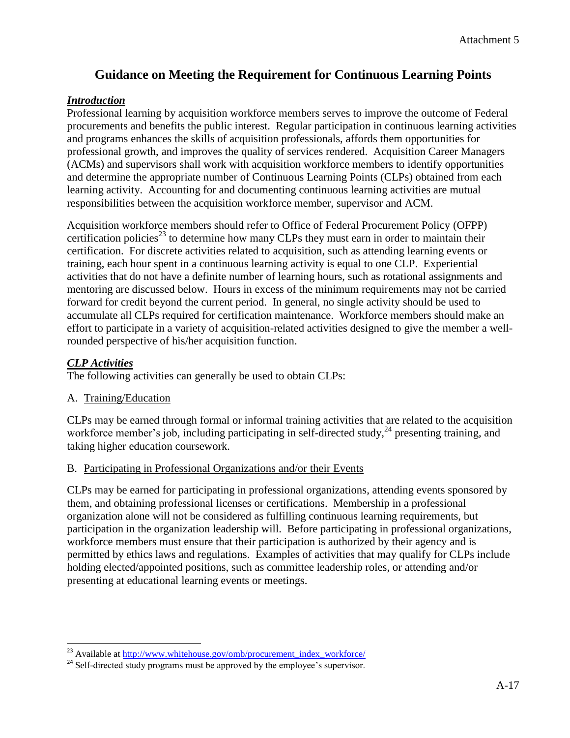## **Guidance on Meeting the Requirement for Continuous Learning Points**

## *Introduction*

Professional learning by acquisition workforce members serves to improve the outcome of Federal procurements and benefits the public interest. Regular participation in continuous learning activities and programs enhances the skills of acquisition professionals, affords them opportunities for professional growth, and improves the quality of services rendered. Acquisition Career Managers (ACMs) and supervisors shall work with acquisition workforce members to identify opportunities and determine the appropriate number of Continuous Learning Points (CLPs) obtained from each learning activity. Accounting for and documenting continuous learning activities are mutual responsibilities between the acquisition workforce member, supervisor and ACM.

Acquisition workforce members should refer to Office of Federal Procurement Policy (OFPP) certification policies<sup>23</sup> to determine how many CLPs they must earn in order to maintain their certification. For discrete activities related to acquisition, such as attending learning events or training, each hour spent in a continuous learning activity is equal to one CLP. Experiential activities that do not have a definite number of learning hours, such as rotational assignments and mentoring are discussed below. Hours in excess of the minimum requirements may not be carried forward for credit beyond the current period. In general, no single activity should be used to accumulate all CLPs required for certification maintenance. Workforce members should make an effort to participate in a variety of acquisition-related activities designed to give the member a wellrounded perspective of his/her acquisition function.

## *CLP Activities*

The following activities can generally be used to obtain CLPs:

## A. Training/Education

CLPs may be earned through formal or informal training activities that are related to the acquisition workforce member's job, including participating in self-directed study,<sup>24</sup> presenting training, and taking higher education coursework.

### B. Participating in Professional Organizations and/or their Events

CLPs may be earned for participating in professional organizations, attending events sponsored by them, and obtaining professional licenses or certifications. Membership in a professional organization alone will not be considered as fulfilling continuous learning requirements, but participation in the organization leadership will. Before participating in professional organizations, workforce members must ensure that their participation is authorized by their agency and is permitted by ethics laws and regulations. Examples of activities that may qualify for CLPs include holding elected/appointed positions, such as committee leadership roles, or attending and/or presenting at educational learning events or meetings.

l <sup>23</sup> Available at http://www.whitehouse.gov/omb/procurement\_index\_workforce/

<sup>&</sup>lt;sup>24</sup> Self-directed study programs must be approved by the employee's supervisor.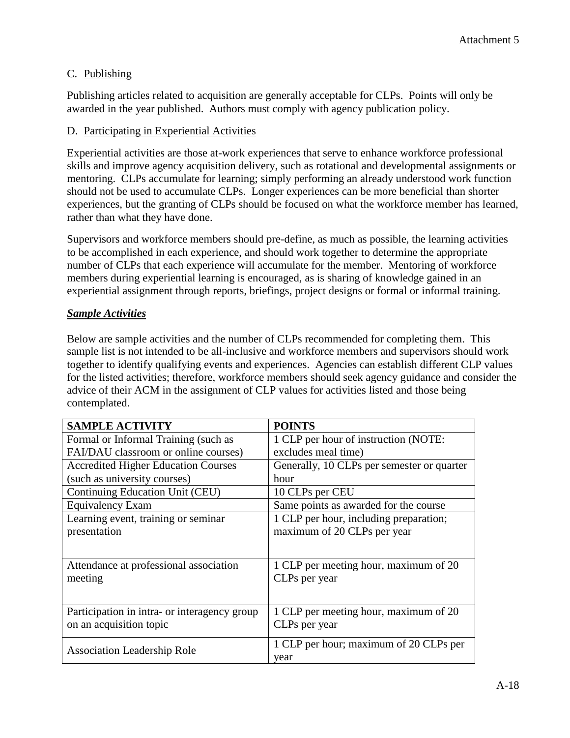## C. Publishing

Publishing articles related to acquisition are generally acceptable for CLPs. Points will only be awarded in the year published. Authors must comply with agency publication policy.

## D. Participating in Experiential Activities

Experiential activities are those at-work experiences that serve to enhance workforce professional skills and improve agency acquisition delivery, such as rotational and developmental assignments or mentoring. CLPs accumulate for learning; simply performing an already understood work function should not be used to accumulate CLPs. Longer experiences can be more beneficial than shorter experiences, but the granting of CLPs should be focused on what the workforce member has learned, rather than what they have done.

Supervisors and workforce members should pre-define, as much as possible, the learning activities to be accomplished in each experience, and should work together to determine the appropriate number of CLPs that each experience will accumulate for the member. Mentoring of workforce members during experiential learning is encouraged, as is sharing of knowledge gained in an experiential assignment through reports, briefings, project designs or formal or informal training.

## *Sample Activities*

Below are sample activities and the number of CLPs recommended for completing them. This sample list is not intended to be all-inclusive and workforce members and supervisors should work together to identify qualifying events and experiences. Agencies can establish different CLP values for the listed activities; therefore, workforce members should seek agency guidance and consider the advice of their ACM in the assignment of CLP values for activities listed and those being contemplated.

| <b>SAMPLE ACTIVITY</b>                       | <b>POINTS</b>                              |
|----------------------------------------------|--------------------------------------------|
| Formal or Informal Training (such as         | 1 CLP per hour of instruction (NOTE:       |
| FAI/DAU classroom or online courses)         | excludes meal time)                        |
| <b>Accredited Higher Education Courses</b>   | Generally, 10 CLPs per semester or quarter |
| (such as university courses)                 | hour                                       |
| Continuing Education Unit (CEU)              | 10 CLPs per CEU                            |
| Equivalency Exam                             | Same points as awarded for the course      |
| Learning event, training or seminar          | 1 CLP per hour, including preparation;     |
| presentation                                 | maximum of 20 CLPs per year                |
|                                              |                                            |
| Attendance at professional association       | 1 CLP per meeting hour, maximum of 20      |
| meeting                                      | CLPs per year                              |
|                                              |                                            |
| Participation in intra- or interagency group | 1 CLP per meeting hour, maximum of 20      |
| on an acquisition topic                      | CLPs per year                              |
| <b>Association Leadership Role</b>           | 1 CLP per hour; maximum of 20 CLPs per     |
|                                              | year                                       |